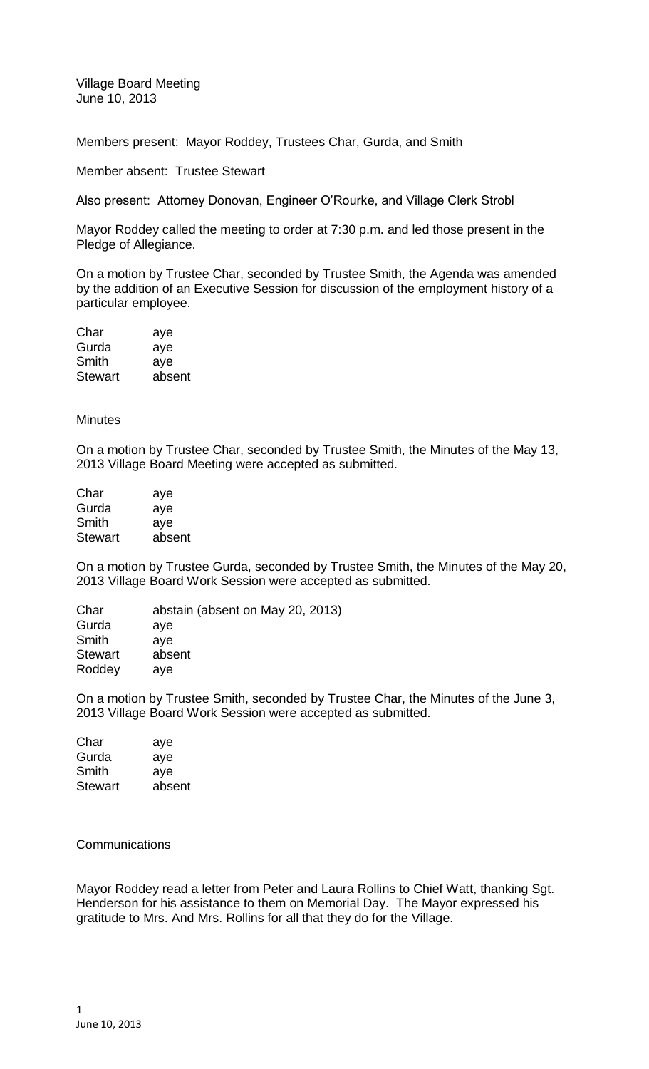Village Board Meeting June 10, 2013

Members present: Mayor Roddey, Trustees Char, Gurda, and Smith

Member absent: Trustee Stewart

Also present: Attorney Donovan, Engineer O'Rourke, and Village Clerk Strobl

Mayor Roddey called the meeting to order at 7:30 p.m. and led those present in the Pledge of Allegiance.

On a motion by Trustee Char, seconded by Trustee Smith, the Agenda was amended by the addition of an Executive Session for discussion of the employment history of a particular employee.

| Char           | aye    |
|----------------|--------|
| Gurda          | aye    |
| Smith          | aye    |
| <b>Stewart</b> | absent |

**Minutes** 

On a motion by Trustee Char, seconded by Trustee Smith, the Minutes of the May 13, 2013 Village Board Meeting were accepted as submitted.

| Char           | aye    |
|----------------|--------|
| Gurda          | aye    |
| Smith          | aye    |
| <b>Stewart</b> | absent |

On a motion by Trustee Gurda, seconded by Trustee Smith, the Minutes of the May 20, 2013 Village Board Work Session were accepted as submitted.

| Char           | abstain (absent on May 20, 2013) |
|----------------|----------------------------------|
| Gurda          | ave                              |
| Smith          | aye                              |
| <b>Stewart</b> | absent                           |
| Roddey         | ave                              |
|                |                                  |

On a motion by Trustee Smith, seconded by Trustee Char, the Minutes of the June 3, 2013 Village Board Work Session were accepted as submitted.

| aye    |
|--------|
| aye    |
| ave    |
| absent |
|        |

**Communications** 

Mayor Roddey read a letter from Peter and Laura Rollins to Chief Watt, thanking Sgt. Henderson for his assistance to them on Memorial Day. The Mayor expressed his gratitude to Mrs. And Mrs. Rollins for all that they do for the Village.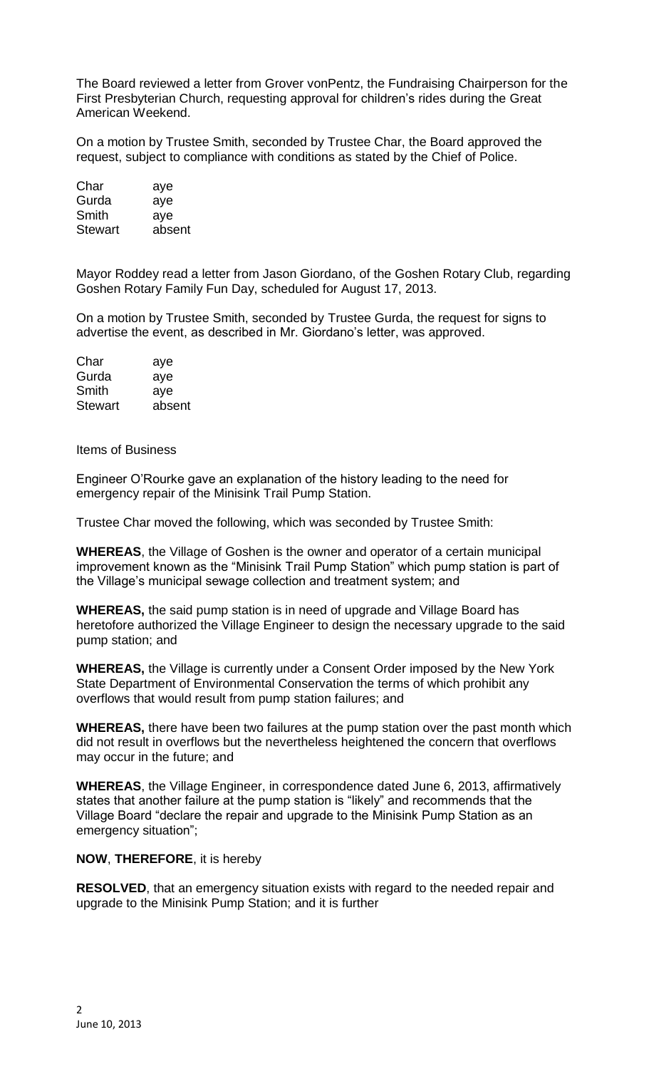The Board reviewed a letter from Grover vonPentz, the Fundraising Chairperson for the First Presbyterian Church, requesting approval for children's rides during the Great American Weekend.

On a motion by Trustee Smith, seconded by Trustee Char, the Board approved the request, subject to compliance with conditions as stated by the Chief of Police.

| Char           | aye    |
|----------------|--------|
| Gurda          | aye    |
| Smith          | aye    |
| <b>Stewart</b> | absent |

Mayor Roddey read a letter from Jason Giordano, of the Goshen Rotary Club, regarding Goshen Rotary Family Fun Day, scheduled for August 17, 2013.

On a motion by Trustee Smith, seconded by Trustee Gurda, the request for signs to advertise the event, as described in Mr. Giordano's letter, was approved.

| aye    |
|--------|
| aye    |
| ave    |
| absent |
|        |

Items of Business

Engineer O'Rourke gave an explanation of the history leading to the need for emergency repair of the Minisink Trail Pump Station.

Trustee Char moved the following, which was seconded by Trustee Smith:

**WHEREAS**, the Village of Goshen is the owner and operator of a certain municipal improvement known as the "Minisink Trail Pump Station" which pump station is part of the Village's municipal sewage collection and treatment system; and

**WHEREAS,** the said pump station is in need of upgrade and Village Board has heretofore authorized the Village Engineer to design the necessary upgrade to the said pump station; and

**WHEREAS,** the Village is currently under a Consent Order imposed by the New York State Department of Environmental Conservation the terms of which prohibit any overflows that would result from pump station failures; and

**WHEREAS,** there have been two failures at the pump station over the past month which did not result in overflows but the nevertheless heightened the concern that overflows may occur in the future; and

**WHEREAS**, the Village Engineer, in correspondence dated June 6, 2013, affirmatively states that another failure at the pump station is "likely" and recommends that the Village Board "declare the repair and upgrade to the Minisink Pump Station as an emergency situation";

## **NOW**, **THEREFORE**, it is hereby

**RESOLVED**, that an emergency situation exists with regard to the needed repair and upgrade to the Minisink Pump Station; and it is further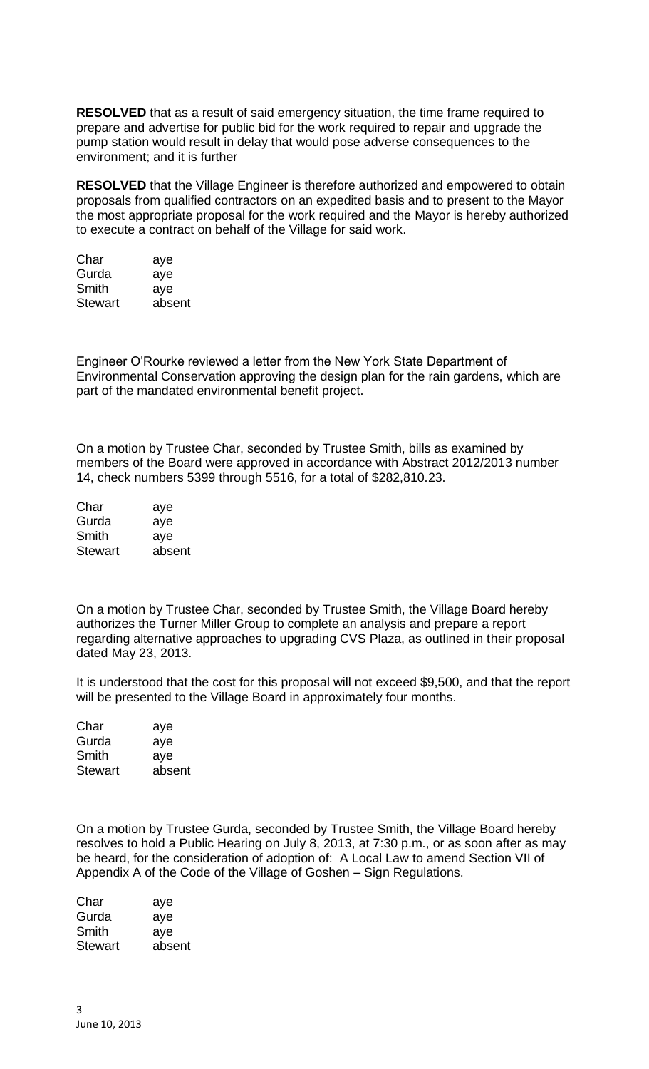**RESOLVED** that as a result of said emergency situation, the time frame required to prepare and advertise for public bid for the work required to repair and upgrade the pump station would result in delay that would pose adverse consequences to the environment; and it is further

**RESOLVED** that the Village Engineer is therefore authorized and empowered to obtain proposals from qualified contractors on an expedited basis and to present to the Mayor the most appropriate proposal for the work required and the Mayor is hereby authorized to execute a contract on behalf of the Village for said work.

| aye    |
|--------|
| aye    |
| ave    |
| absent |
|        |

Engineer O'Rourke reviewed a letter from the New York State Department of Environmental Conservation approving the design plan for the rain gardens, which are part of the mandated environmental benefit project.

On a motion by Trustee Char, seconded by Trustee Smith, bills as examined by members of the Board were approved in accordance with Abstract 2012/2013 number 14, check numbers 5399 through 5516, for a total of \$282,810.23.

| Char           | aye    |
|----------------|--------|
| Gurda          | aye    |
| Smith          | aye    |
| <b>Stewart</b> | absent |

On a motion by Trustee Char, seconded by Trustee Smith, the Village Board hereby authorizes the Turner Miller Group to complete an analysis and prepare a report regarding alternative approaches to upgrading CVS Plaza, as outlined in their proposal dated May 23, 2013.

It is understood that the cost for this proposal will not exceed \$9,500, and that the report will be presented to the Village Board in approximately four months.

| aye    |
|--------|
| aye    |
| ave    |
| absent |
|        |

On a motion by Trustee Gurda, seconded by Trustee Smith, the Village Board hereby resolves to hold a Public Hearing on July 8, 2013, at 7:30 p.m., or as soon after as may be heard, for the consideration of adoption of: A Local Law to amend Section VII of Appendix A of the Code of the Village of Goshen – Sign Regulations.

| Char           | aye    |
|----------------|--------|
| Gurda          | aye    |
| Smith          | aye    |
| <b>Stewart</b> | absent |